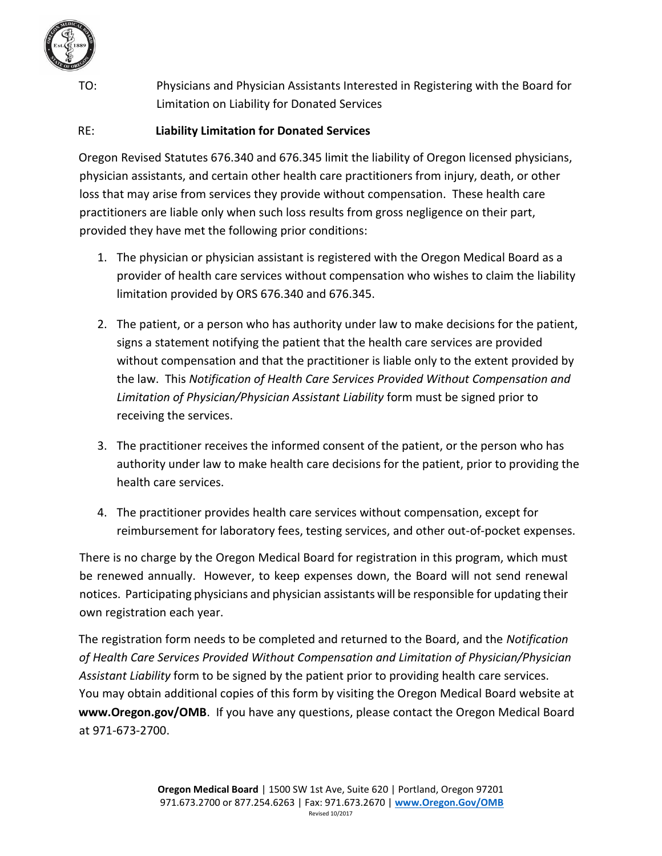

TO: Physicians and Physician Assistants Interested in Registering with the Board for Limitation on Liability for Donated Services

RE: **Liability Limitation for Donated Services**

Oregon Revised Statutes 676.340 and 676.345 limit the liability of Oregon licensed physicians, physician assistants, and certain other health care practitioners from injury, death, or other loss that may arise from services they provide without compensation. These health care practitioners are liable only when such loss results from gross negligence on their part, provided they have met the following prior conditions:

- 1. The physician or physician assistant is registered with the Oregon Medical Board as a provider of health care services without compensation who wishes to claim the liability limitation provided by ORS 676.340 and 676.345.
- 2. The patient, or a person who has authority under law to make decisions for the patient, signs a statement notifying the patient that the health care services are provided without compensation and that the practitioner is liable only to the extent provided by the law. This *Notification of Health Care Services Provided Without Compensation and Limitation of Physician/Physician Assistant Liability* form must be signed prior to receiving the services.
- 3. The practitioner receives the informed consent of the patient, or the person who has authority under law to make health care decisions for the patient, prior to providing the health care services.
- 4. The practitioner provides health care services without compensation, except for reimbursement for laboratory fees, testing services, and other out-of-pocket expenses.

There is no charge by the Oregon Medical Board for registration in this program, which must be renewed annually. However, to keep expenses down, the Board will not send renewal notices. Participating physicians and physician assistants will be responsible for updating their own registration each year.

The registration form needs to be completed and returned to the Board, and the *Notification of Health Care Services Provided Without Compensation and Limitation of Physician/Physician Assistant Liability* form to be signed by the patient prior to providing health care services. You may obtain additional copies of this form by visiting the Oregon Medical Board website at **www.Oregon.gov/OMB**[.](http://www.oregon.gov/OMB/) If you have any questions, please contact the Oregon Medical Board at 971-673-2700.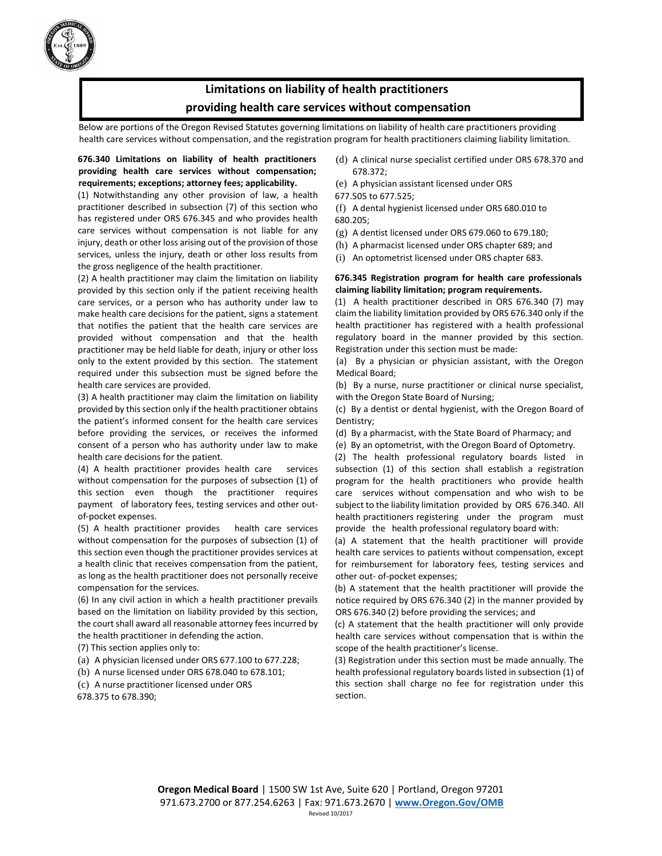

### **Limitations on liability of health practitioners providing health care services without compensation**

Below are portions of the Oregon Revised Statutes governing limitations on liability of health care practitioners providing health care services without compensation, and the registration program for health practitioners claiming liability limitation.

#### **676.340 Limitations on liability of health practitioners providing health care services without compensation; requirements; exceptions; attorney fees; applicability.**

(1) Notwithstanding any other provision of law, a health practitioner described in subsection (7) of this section who has registered under ORS 676.345 and who provides health care services without compensation is not liable for any injury, death or other loss arising out of the provision of those services, unless the injury, death or other loss results from the gross negligence of the health practitioner.

(2) A health practitioner may claim the limitation on liability provided by this section only if the patient receiving health care services, or a person who has authority under law to make health care decisions for the patient, signs a statement that notifies the patient that the health care services are provided without compensation and that the health practitioner may be held liable for death, injury or other loss only to the extent provided by this section. The statement required under this subsection must be signed before the health care services are provided.

(3) A health practitioner may claim the limitation on liability provided by this section only if the health practitioner obtains the patient's informed consent for the health care services before providing the services, or receives the informed consent of a person who has authority under law to make health care decisions for the patient.

(4) A health practitioner provides health care services without compensation for the purposes of subsection (1) of this section even though the practitioner requires payment of laboratory fees, testing services and other outof-pocket expenses.

(5) A health practitioner provides health care services without compensation for the purposes of subsection (1) of this section even though the practitioner provides services at a health clinic that receives compensation from the patient, as long as the health practitioner does not personally receive compensation for the services.

(6) In any civil action in which a health practitioner prevails based on the limitation on liability provided by this section, the court shall award all reasonable attorney fees incurred by the health practitioner in defending the action.

(7) This section applies only to:

(a) A physician licensed under ORS 677.100 to 677.228;

(b) A nurse licensed under ORS 678.040 to 678.101;

(c) A nurse practitioner licensed under ORS 678.375 to 678.390;

- (d) A clinical nurse specialist certified under ORS 678.370 and 678.372;
- (e) A physician assistant licensed under ORS

677.505 to 677.525;

(f) A dental hygienist licensed under ORS 680.010 to 680.205;

- (g) A dentist licensed under ORS 679.060 to 679.180;
- (h) A pharmacist licensed under ORS chapter 689; and
- (i) An optometrist licensed under ORS chapter 683.

#### **676.345 Registration program for health care professionals claiming liability limitation; program requirements.**

(1) A health practitioner described in ORS 676.340 (7) may claim the liability limitation provided by ORS 676.340 only if the health practitioner has registered with a health professional regulatory board in the manner provided by this section. Registration under this section must be made:

(a) By a physician or physician assistant, with the Oregon Medical Board;

(b) By a nurse, nurse practitioner or clinical nurse specialist, with the Oregon State Board of Nursing;

(c) By a dentist or dental hygienist, with the Oregon Board of Dentistry;

- (d) By a pharmacist, with the State Board of Pharmacy; and
- (e) By an optometrist, with the Oregon Board of Optometry.

(2) The health professional regulatory boards listed in subsection (1) of this section shall establish a registration program for the health practitioners who provide health care services without compensation and who wish to be subject to the liability limitation provided by ORS 676.340. All health practitioners registering under the program must provide the health professional regulatory board with:

(a) A statement that the health practitioner will provide health care services to patients without compensation, except for reimbursement for laboratory fees, testing services and other out- of-pocket expenses;

(b) A statement that the health practitioner will provide the notice required by ORS 676.340 (2) in the manner provided by ORS 676.340 (2) before providing the services; and

(c) A statement that the health practitioner will only provide health care services without compensation that is within the scope of the health practitioner's license.

(3) Registration under this section must be made annually. The health professional regulatory boards listed in subsection (1) of this section shall charge no fee for registration under this section.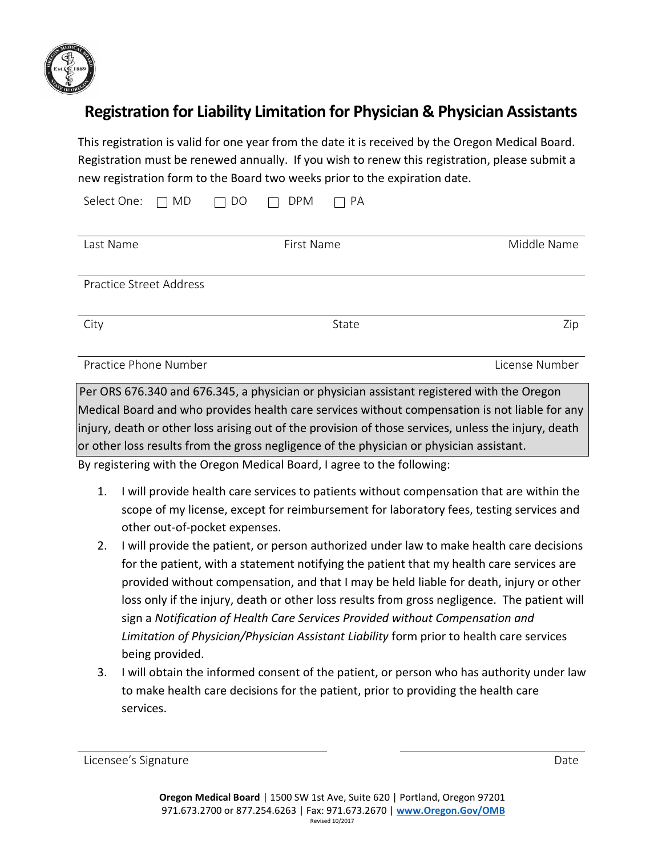

# **Registration for Liability Limitation for Physician & Physician Assistants**

This registration is valid for one year from the date it is received by the Oregon Medical Board. Registration must be renewed annually. If you wish to renew this registration, please submit a new registration form to the Board two weeks prior to the expiration date.

| Select One:<br>MD<br>$\mathcal{L}$ | PA<br><b>DPM</b><br>DO<br>a s |                |
|------------------------------------|-------------------------------|----------------|
| Last Name                          | First Name                    | Middle Name    |
| Practice Street Address            |                               |                |
| City                               | State                         | Zip            |
| Practice Phone Number              |                               | License Number |

Per ORS 676.340 and 676.345, a physician or physician assistant registered with the Oregon Medical Board and who provides health care services without compensation is not liable for any injury, death or other loss arising out of the provision of those services, unless the injury, death or other loss results from the gross negligence of the physician or physician assistant.

By registering with the Oregon Medical Board, I agree to the following:

- 1. I will provide health care services to patients without compensation that are within the scope of my license, except for reimbursement for laboratory fees, testing services and other out-of-pocket expenses.
- 2. I will provide the patient, or person authorized under law to make health care decisions for the patient, with a statement notifying the patient that my health care services are provided without compensation, and that I may be held liable for death, injury or other loss only if the injury, death or other loss results from gross negligence. The patient will sign a *Notification of Health Care Services Provided without Compensation and Limitation of Physician/Physician Assistant Liability* form prior to health care services being provided.
- 3. I will obtain the informed consent of the patient, or person who has authority under law to make health care decisions for the patient, prior to providing the health care services.

Licensee's Signature Date Date Communications and Date Date Date Date